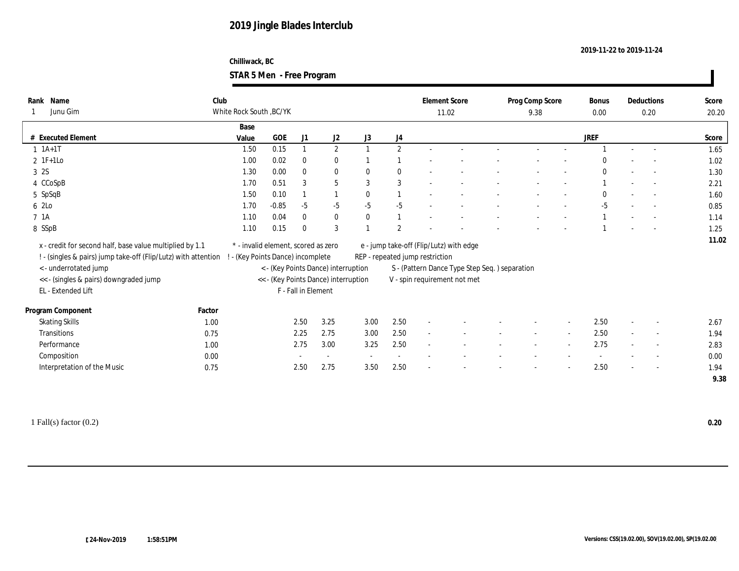#### **Chilliwack, BC STAR 5 Men - Free Program**

| Name<br>Rank                                                     | Club   |                                     |         |                     |                                      |                          |                  | <b>Element Score</b>            |                                                | Prog Comp Score |        | <b>Bonus</b> |        | Deductions               | Score |
|------------------------------------------------------------------|--------|-------------------------------------|---------|---------------------|--------------------------------------|--------------------------|------------------|---------------------------------|------------------------------------------------|-----------------|--------|--------------|--------|--------------------------|-------|
| Junu Gim                                                         |        | White Rock South, BC/YK             |         |                     |                                      |                          |                  |                                 | 11.02                                          | 9.38            |        | 0.00         |        | 0.20                     | 20.20 |
|                                                                  |        | Base                                |         |                     |                                      |                          |                  |                                 |                                                |                 |        |              |        |                          |       |
| # Executed Element                                               |        | Value                               | GOE     | J1                  | J2                                   | J3                       | $_{\mathrm{J}4}$ |                                 |                                                |                 |        | <b>JREF</b>  |        |                          | Score |
| $1 \t1A+1T$                                                      |        | 1.50                                | 0.15    | $\mathbf{1}$        | $\mathbf{2}$                         |                          | $\mathbf{2}$     |                                 |                                                |                 |        |              |        | $\sim$                   | 1.65  |
| $2 \text{ } 1F+1LO$                                              |        | 1.00                                | 0.02    | $\bf{0}$            | $\bf{0}$                             |                          |                  |                                 |                                                |                 |        | $\Omega$     |        |                          | 1.02  |
| 3 2S                                                             |        | 1.30                                | 0.00    | $\bf{0}$            | $\bf{0}$                             | $\bf{0}$                 | $\bf{0}$         | $\overline{\phantom{a}}$        |                                                |                 |        | $\mathbf{0}$ |        | $\overline{\phantom{a}}$ | 1.30  |
| 4 CCoSpB                                                         |        | 1.70                                | 0.51    | 3                   | 5                                    | 3                        | 3                | $\sim$                          |                                                |                 |        |              |        | $\sim$                   | 2.21  |
| 5 SpSqB                                                          |        | 1.50                                | 0.10    |                     |                                      | $\theta$                 |                  |                                 |                                                |                 |        | $\bf{0}$     |        | $\overline{\phantom{a}}$ | 1.60  |
| 6 2Lo                                                            |        | 1.70                                | $-0.85$ | $-5$                | $-5$                                 | $-5$                     | $-5$             | $\overline{\phantom{a}}$        |                                                |                 |        | $-5$         |        | $\sim$                   | 0.85  |
| 7 1A                                                             |        | 1.10                                | 0.04    | $\mathbf{0}$        | $\bf{0}$                             | $\bf{0}$                 | $\mathbf{1}$     |                                 |                                                |                 |        |              |        | $\overline{\phantom{a}}$ | 1.14  |
| 8 SSpB                                                           |        | 1.10                                | 0.15    | $\mathbf{0}$        | 3                                    |                          | $\boldsymbol{2}$ |                                 |                                                |                 |        |              |        |                          | 1.25  |
| x - credit for second half, base value multiplied by 1.1         |        | * - invalid element, scored as zero |         |                     |                                      |                          |                  |                                 | e - jump take-off (Flip/Lutz) with edge        |                 |        |              |        |                          | 11.02 |
| ! - (singles & pairs) jump take-off (Flip/Lutz) with attention ! |        | - (Key Points Dance) incomplete     |         |                     |                                      |                          |                  | REP - repeated jump restriction |                                                |                 |        |              |        |                          |       |
| <- underrotated jump                                             |        |                                     |         |                     | < - (Key Points Dance) interruption  |                          |                  |                                 | S - (Pattern Dance Type Step Seq. ) separation |                 |        |              |        |                          |       |
| << - (singles & pairs) downgraded jump                           |        |                                     |         |                     | << - (Key Points Dance) interruption |                          |                  |                                 | V - spin requirement not met                   |                 |        |              |        |                          |       |
| EL - Extended Lift                                               |        |                                     |         | F - Fall in Element |                                      |                          |                  |                                 |                                                |                 |        |              |        |                          |       |
|                                                                  |        |                                     |         |                     |                                      |                          |                  |                                 |                                                |                 |        |              |        |                          |       |
| Program Component                                                | Factor |                                     |         |                     |                                      |                          |                  |                                 |                                                |                 |        |              |        |                          |       |
| <b>Skating Skills</b>                                            | 1.00   |                                     |         | 2.50                | 3.25                                 | 3.00                     | 2.50             |                                 |                                                |                 |        | 2.50         |        |                          | 2.67  |
| Transitions                                                      | 0.75   |                                     |         | 2.25                | 2.75                                 | 3.00                     | 2.50             | $\sim$                          |                                                |                 | $\sim$ | 2.50         | $\sim$ | $\sim$                   | 1.94  |
| Performance                                                      | 1.00   |                                     |         | 2.75                | 3.00                                 | 3.25                     | 2.50             |                                 |                                                |                 |        | 2.75         | $\sim$ | $\overline{\phantom{a}}$ | 2.83  |
| Composition                                                      | 0.00   |                                     |         |                     | $\sim$                               | $\overline{\phantom{a}}$ | $\sim$           |                                 |                                                |                 |        |              |        | $\overline{\phantom{a}}$ | 0.00  |
| Interpretation of the Music                                      | 0.75   |                                     |         | 2.50                | 2.75                                 | 3.50                     | 2.50             |                                 |                                                |                 |        | 2.50         |        | $\overline{\phantom{a}}$ | 1.94  |
|                                                                  |        |                                     |         |                     |                                      |                          |                  |                                 |                                                |                 |        |              |        |                          | 9.38  |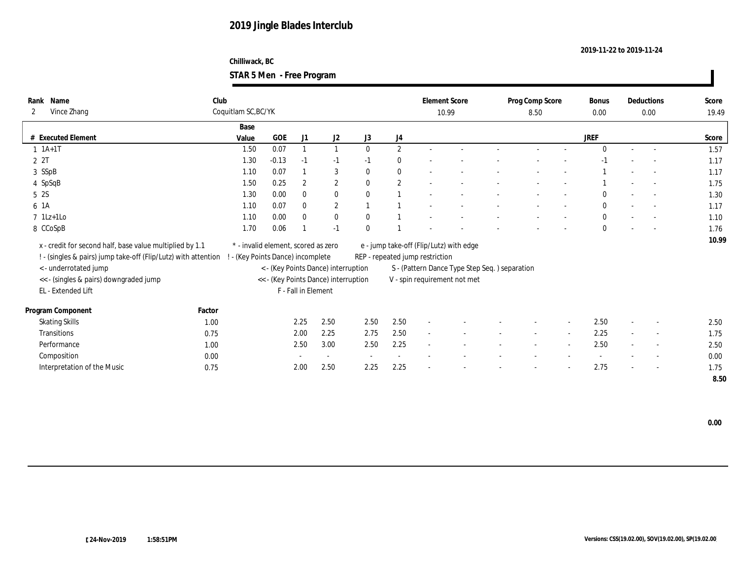#### **Chilliwack, BC STAR 5 Men - Free Program**

| Name<br>Rank                                                   | Club   |                                     |         |                     |                                      |                          |               |                                 | <b>Element Score</b>                          | Prog Comp Score |                          | Bonus        |        | Deductions               | Score |
|----------------------------------------------------------------|--------|-------------------------------------|---------|---------------------|--------------------------------------|--------------------------|---------------|---------------------------------|-----------------------------------------------|-----------------|--------------------------|--------------|--------|--------------------------|-------|
| Vince Zhang<br>$\mathbf{2}$                                    |        | Coquitlam SC, BC/YK                 |         |                     |                                      |                          |               |                                 | 10.99                                         | 8.50            |                          | $0.00\,$     |        | $0.00\,$                 | 19.49 |
|                                                                |        | Base                                |         |                     |                                      |                          |               |                                 |                                               |                 |                          |              |        |                          |       |
| # Executed Element                                             |        | Value                               | GOE     | J1                  | J2                                   | J3                       | $\mathrm{J}4$ |                                 |                                               |                 |                          | <b>JREF</b>  |        |                          | Score |
| $1 \t1A+1T$                                                    |        | 1.50                                | 0.07    |                     | $\mathbf{1}$                         | $\mathbf{0}$             | $\mathbf{2}$  |                                 |                                               |                 |                          | $\Omega$     |        | $\sim$                   | 1.57  |
| 2 2T                                                           |        | 1.30                                | $-0.13$ | $-1$                | $-1$                                 | $-1$                     | $\bf{0}$      |                                 |                                               |                 |                          | -1           |        |                          | 1.17  |
| 3 SSpB                                                         |        | 1.10                                | 0.07    |                     | 3                                    | $\mathbf{0}$             | $\bf{0}$      |                                 |                                               |                 |                          |              |        | $\overline{\phantom{a}}$ | 1.17  |
| 4 SpSqB                                                        |        | 1.50                                | 0.25    | $\mathbf{2}$        | $\mathbf{2}$                         | $\mathbf{0}$             | $\mathbf{2}$  |                                 |                                               |                 |                          |              |        | $\sim$                   | 1.75  |
| 5 2S                                                           |        | 1.30                                | 0.00    | $\mathbf{0}$        | $\bf{0}$                             | $\mathbf{0}$             |               |                                 |                                               |                 |                          | $\mathbf{0}$ |        |                          | 1.30  |
| 6 1A                                                           |        | 1.10                                | 0.07    | $\mathbf{0}$        | $\mathbf{2}$                         |                          |               |                                 |                                               |                 |                          | $\mathbf{0}$ |        | $\sim$                   | 1.17  |
| $7$ 1Lz+1Lo                                                    |        | 1.10                                | 0.00    | $\bf{0}$            | $\bf{0}$                             | $\mathbf{0}$             |               |                                 |                                               |                 |                          | $\mathbf{0}$ |        | $\sim$                   | 1.10  |
| 8 CCoSpB                                                       |        | 1.70                                | 0.06    |                     | $-1$                                 | $\theta$                 |               |                                 |                                               |                 |                          | $\mathbf{0}$ |        | $\sim$                   | 1.76  |
| x - credit for second half, base value multiplied by 1.1       |        | * - invalid element, scored as zero |         |                     |                                      |                          |               |                                 | e - jump take-off (Flip/Lutz) with edge       |                 |                          |              |        |                          | 10.99 |
| ! - (singles & pairs) jump take-off (Flip/Lutz) with attention |        | - (Key Points Dance) incomplete     |         |                     |                                      |                          |               | REP - repeated jump restriction |                                               |                 |                          |              |        |                          |       |
| <- underrotated jump                                           |        |                                     |         |                     | < - (Key Points Dance) interruption  |                          |               |                                 | S - (Pattern Dance Type Step Seq.) separation |                 |                          |              |        |                          |       |
| << - (singles & pairs) downgraded jump                         |        |                                     |         |                     | << - (Key Points Dance) interruption |                          |               |                                 | V - spin requirement not met                  |                 |                          |              |        |                          |       |
| EL - Extended Lift                                             |        |                                     |         | F - Fall in Element |                                      |                          |               |                                 |                                               |                 |                          |              |        |                          |       |
|                                                                |        |                                     |         |                     |                                      |                          |               |                                 |                                               |                 |                          |              |        |                          |       |
| Program Component                                              | Factor |                                     |         |                     |                                      |                          |               |                                 |                                               |                 |                          |              |        |                          |       |
| <b>Skating Skills</b>                                          | 1.00   |                                     |         | 2.25                | 2.50                                 | 2.50                     | 2.50          | $\sim$                          |                                               |                 |                          | 2.50         |        | $\overline{\phantom{a}}$ | 2.50  |
| Transitions                                                    | 0.75   |                                     |         | 2.00                | 2.25                                 | 2.75                     | 2.50          | $\sim$                          |                                               | $\sim$          | $\sim$                   | 2.25         | $\sim$ | $\sim$                   | 1.75  |
| Performance                                                    | 1.00   |                                     |         | 2.50                | 3.00                                 | 2.50                     | 2.25          |                                 |                                               |                 | $\overline{\phantom{a}}$ | 2.50         |        | $\overline{\phantom{a}}$ | 2.50  |
| Composition                                                    | 0.00   |                                     |         |                     | $\sim$                               | $\overline{\phantom{a}}$ | $\sim$        |                                 |                                               |                 |                          |              |        | $\overline{\phantom{a}}$ | 0.00  |
| Interpretation of the Music                                    | 0.75   |                                     |         | 2.00                | 2.50                                 | 2.25                     | 2.25          |                                 |                                               |                 |                          | 2.75         |        | $\sim$                   | 1.75  |
|                                                                |        |                                     |         |                     |                                      |                          |               |                                 |                                               |                 |                          |              |        |                          | 8.50  |

 **0.00**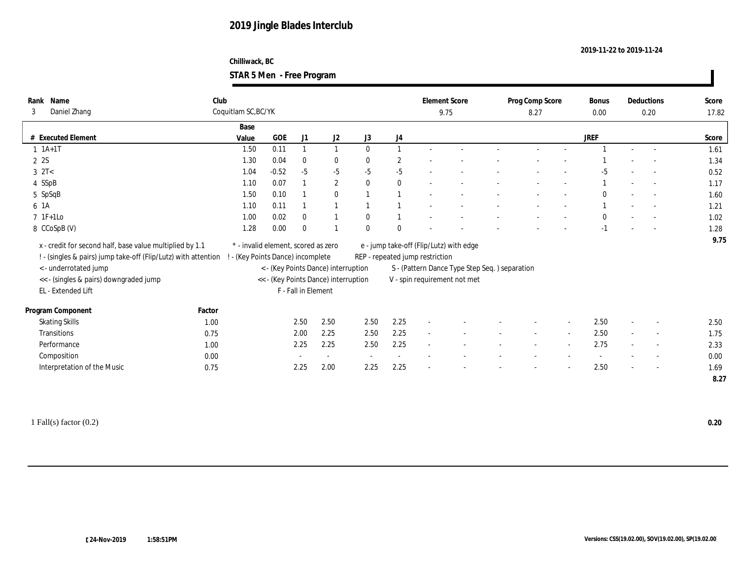#### **Chilliwack, BC STAR 5 Men - Free Program**

| Name<br>Rank                                                   | Club                                |         |                     |                                      |              |              | <b>Element Score</b>            |                                               | Prog Comp Score |                          | Bonus        |        | Deductions               | Score |
|----------------------------------------------------------------|-------------------------------------|---------|---------------------|--------------------------------------|--------------|--------------|---------------------------------|-----------------------------------------------|-----------------|--------------------------|--------------|--------|--------------------------|-------|
| Daniel Zhang<br>3                                              | Coquitlam SC, BC/YK                 |         |                     |                                      |              |              | 9.75                            |                                               | 8.27            |                          | 0.00         |        | 0.20                     | 17.82 |
|                                                                |                                     |         |                     |                                      |              |              |                                 |                                               |                 |                          |              |        |                          |       |
|                                                                | Base                                |         |                     |                                      |              |              |                                 |                                               |                 |                          |              |        |                          |       |
| # Executed Element                                             | Value                               | GOE     | J1                  | J2                                   | J3           | J4           |                                 |                                               |                 |                          | <b>JREF</b>  |        |                          | Score |
| $1 \t1A+1T$                                                    | 1.50                                | 0.11    |                     | $\overline{1}$                       | $\mathbf{0}$ |              |                                 |                                               |                 |                          |              |        | $\sim$                   | 1.61  |
| 2 2S                                                           | 1.30                                | 0.04    | $\bf{0}$            | $\bf{0}$                             | $\mathbf{0}$ | $\mathbf{2}$ |                                 |                                               |                 |                          |              |        |                          | 1.34  |
| $3 \text{ } 2T <$                                              | 1.04                                | $-0.52$ | $-5$                | $-5$                                 | $-5$         | $-5$         |                                 |                                               |                 |                          | $-5$         |        |                          | 0.52  |
| 4 SSpB                                                         | 1.10                                | 0.07    |                     | $\mathbf{2}$                         | $\mathbf{0}$ | $\mathbf{0}$ |                                 |                                               |                 |                          |              |        | $\sim$                   | 1.17  |
| 5 SpSqB                                                        | 1.50                                | 0.10    |                     | $\mathbf{0}$                         |              |              |                                 |                                               |                 |                          | $\mathbf{0}$ |        |                          | 1.60  |
| 6 1A                                                           | 1.10                                | 0.11    |                     | $\overline{1}$                       |              |              |                                 |                                               |                 |                          |              |        | $\overline{a}$           | 1.21  |
| $7 \text{ IF+1Lo}$                                             | 1.00                                | 0.02    | $\mathbf{0}$        |                                      | $\mathbf{0}$ |              |                                 |                                               |                 |                          | $\Omega$     |        |                          | 1.02  |
| 8 CCoSpB (V)                                                   | 1.28                                | 0.00    | $\theta$            |                                      | $\mathbf{0}$ | $\Omega$     |                                 |                                               |                 |                          | $-1$         |        |                          | 1.28  |
| x - credit for second half, base value multiplied by 1.1       | * - invalid element, scored as zero |         |                     |                                      |              |              |                                 | e - jump take-off (Flip/Lutz) with edge       |                 |                          |              |        |                          | 9.75  |
| ! - (singles & pairs) jump take-off (Flip/Lutz) with attention | ! - (Key Points Dance) incomplete   |         |                     |                                      |              |              | REP - repeated jump restriction |                                               |                 |                          |              |        |                          |       |
|                                                                |                                     |         |                     | < - (Key Points Dance) interruption  |              |              |                                 | S - (Pattern Dance Type Step Seq.) separation |                 |                          |              |        |                          |       |
| <- underrotated jump<br><< - (singles & pairs) downgraded jump |                                     |         |                     | << - (Key Points Dance) interruption |              |              |                                 | V - spin requirement not met                  |                 |                          |              |        |                          |       |
| EL - Extended Lift                                             |                                     |         | F - Fall in Element |                                      |              |              |                                 |                                               |                 |                          |              |        |                          |       |
|                                                                |                                     |         |                     |                                      |              |              |                                 |                                               |                 |                          |              |        |                          |       |
| Program Component                                              | Factor                              |         |                     |                                      |              |              |                                 |                                               |                 |                          |              |        |                          |       |
| <b>Skating Skills</b>                                          | 1.00                                |         | 2.50                | 2.50                                 | 2.50         | 2.25         | $\overline{a}$                  |                                               |                 | $\overline{\phantom{a}}$ | 2.50         |        | $\sim$                   | 2.50  |
| <b>Transitions</b>                                             | 0.75                                |         | 2.00                | 2.25                                 | 2.50         | 2.25         | $\sim$                          |                                               |                 | $\sim$                   | 2.50         | $\sim$ | $\overline{\phantom{a}}$ | 1.75  |
| Performance                                                    | 1.00                                |         | 2.25                | 2.25                                 | 2.50         | 2.25         | $\overline{\phantom{a}}$        |                                               |                 | $\overline{\phantom{a}}$ | 2.75         |        | $\overline{\phantom{a}}$ | 2.33  |
| Composition                                                    | 0.00                                |         |                     | $\sim$                               | $\sim$       | $\sim$       |                                 |                                               |                 |                          |              |        | $\overline{\phantom{a}}$ | 0.00  |
| Interpretation of the Music                                    | 0.75                                |         | 2.25                | 2.00                                 | 2.25         | 2.25         |                                 |                                               |                 |                          | 2.50         |        | $\sim$                   | 1.69  |
|                                                                |                                     |         |                     |                                      |              |              |                                 |                                               |                 |                          |              |        |                          | 8.27  |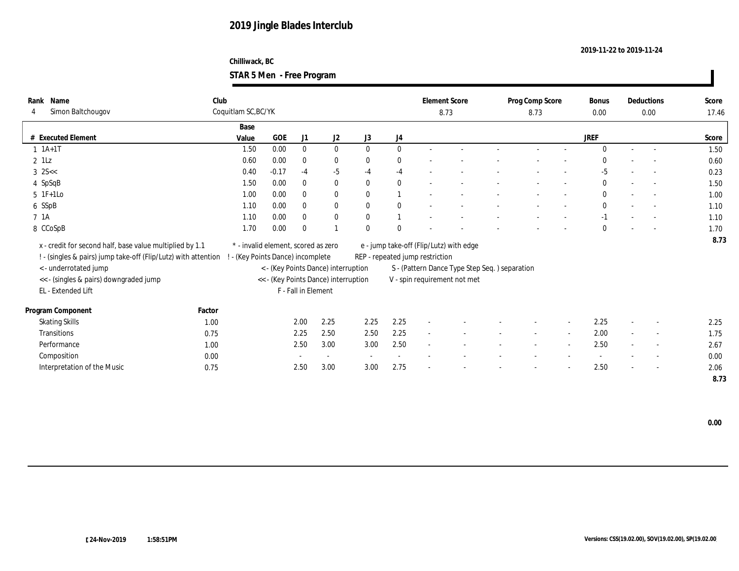#### **Chilliwack, BC STAR 5 Men - Free Program**

| Rank Name                                                      | Club   |                                     |         |                     |                                      |                          |                |                                 | <b>Element Score</b>                          | Prog Comp Score |                          | Bonus        |        | Deductions               | Score |
|----------------------------------------------------------------|--------|-------------------------------------|---------|---------------------|--------------------------------------|--------------------------|----------------|---------------------------------|-----------------------------------------------|-----------------|--------------------------|--------------|--------|--------------------------|-------|
| Simon Baltchougov<br>4                                         |        | Coquitlam SC, BC/YK                 |         |                     |                                      |                          |                |                                 | 8.73                                          | 8.73            |                          | 0.00         |        | 0.00                     | 17.46 |
|                                                                |        | Base                                |         |                     |                                      |                          |                |                                 |                                               |                 |                          |              |        |                          |       |
| # Executed Element                                             |        | Value                               | GOE     | J1                  | J2                                   | J3                       | J <sub>4</sub> |                                 |                                               |                 |                          | <b>JREF</b>  |        |                          | Score |
| $1 \t1A+1T$                                                    |        | 1.50                                | 0.00    | $\mathbf{0}$        | $\bf{0}$                             | $\mathbf{0}$             | $\mathbf{0}$   |                                 |                                               |                 |                          | $\Omega$     | $\sim$ | $\sim$                   | 1.50  |
| $2$ 1Lz                                                        |        | 0.60                                | 0.00    | $\mathbf{0}$        | $\bf{0}$                             | $\mathbf{0}$             | $\mathbf{0}$   |                                 |                                               |                 |                          | $\theta$     |        |                          | 0.60  |
| $3 \, 25 <$                                                    |        | 0.40                                | $-0.17$ | $-4$                | $-5$                                 | $-4$                     | $-4$           |                                 |                                               |                 |                          | $-5$         |        | $\overline{\phantom{a}}$ | 0.23  |
| 4 SpSqB                                                        |        | 1.50                                | 0.00    | $\mathbf{0}$        | $\bf{0}$                             | $\mathbf{0}$             | $\mathbf{0}$   |                                 |                                               |                 |                          | $\mathbf{0}$ |        | $\sim$                   | 1.50  |
| $5 \text{ IF+1Lo}$                                             |        | 1.00                                | 0.00    | $\mathbf{0}$        | $\bf{0}$                             | $\mathbf{0}$             |                |                                 |                                               |                 |                          | $\mathbf{0}$ |        | $\sim$                   | 1.00  |
| 6 SSpB                                                         |        | 1.10                                | 0.00    | $\mathbf{0}$        | $\bf{0}$                             | $\mathbf{0}$             | $\mathbf{0}$   |                                 |                                               |                 |                          | $\mathbf{0}$ |        | $\overline{\phantom{a}}$ | 1.10  |
| 7 1A                                                           |        | 1.10                                | 0.00    | $\mathbf{0}$        | $\mathbf{0}$                         | $\mathbf{0}$             |                |                                 |                                               |                 |                          | $-1$         |        | $\sim$                   | 1.10  |
| 8 CCoSpB                                                       |        | 1.70                                | 0.00    | $\mathbf{0}$        | $\mathbf{1}$                         | $\theta$                 | $\Omega$       |                                 |                                               |                 |                          | $\mathbf{0}$ |        | $\sim$                   | 1.70  |
| x - credit for second half, base value multiplied by 1.1       |        | * - invalid element, scored as zero |         |                     |                                      |                          |                |                                 | e - jump take-off (Flip/Lutz) with edge       |                 |                          |              |        |                          | 8.73  |
| ! - (singles & pairs) jump take-off (Flip/Lutz) with attention |        | - (Key Points Dance) incomplete     |         |                     |                                      |                          |                | REP - repeated jump restriction |                                               |                 |                          |              |        |                          |       |
| < - underrotated jump                                          |        |                                     |         |                     | < - (Key Points Dance) interruption  |                          |                |                                 | S - (Pattern Dance Type Step Seq.) separation |                 |                          |              |        |                          |       |
| << - (singles & pairs) downgraded jump                         |        |                                     |         |                     | << - (Key Points Dance) interruption |                          |                |                                 | V - spin requirement not met                  |                 |                          |              |        |                          |       |
| EL - Extended Lift                                             |        |                                     |         | F - Fall in Element |                                      |                          |                |                                 |                                               |                 |                          |              |        |                          |       |
|                                                                |        |                                     |         |                     |                                      |                          |                |                                 |                                               |                 |                          |              |        |                          |       |
| Program Component                                              | Factor |                                     |         |                     |                                      |                          |                |                                 |                                               |                 |                          |              |        |                          |       |
| <b>Skating Skills</b>                                          | 1.00   |                                     |         | 2.00                | 2.25                                 | 2.25                     | 2.25           | $\overline{\phantom{a}}$        |                                               |                 |                          | 2.25         |        | $\overline{\phantom{a}}$ | 2.25  |
| Transitions                                                    | 0.75   |                                     |         | 2.25                | 2.50                                 | 2.50                     | 2.25           | $\sim$                          |                                               | $\sim$          | $\sim$                   | 2.00         | $\sim$ | $\sim$                   | 1.75  |
| Performance                                                    | 1.00   |                                     |         | 2.50                | 3.00                                 | 3.00                     | 2.50           | $\sim$                          |                                               |                 | $\overline{\phantom{a}}$ | 2.50         |        | $\overline{\phantom{a}}$ | 2.67  |
| Composition                                                    | 0.00   |                                     |         |                     | $\sim$                               | $\overline{\phantom{a}}$ |                |                                 |                                               |                 |                          |              |        | $\overline{\phantom{a}}$ | 0.00  |
| Interpretation of the Music                                    | 0.75   |                                     |         | 2.50                | 3.00                                 | 3.00                     | 2.75           |                                 |                                               |                 |                          | 2.50         |        | $\overline{\phantom{a}}$ | 2.06  |
|                                                                |        |                                     |         |                     |                                      |                          |                |                                 |                                               |                 |                          |              |        |                          | 8.73  |

 **0.00**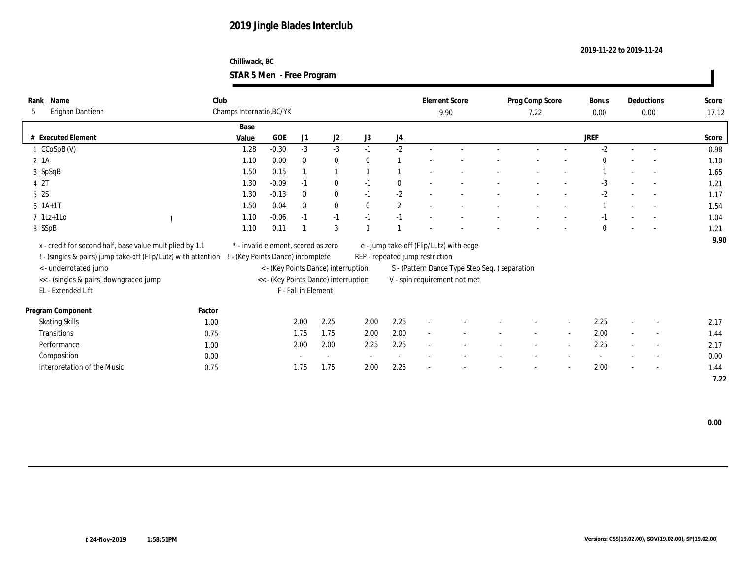#### **Chilliwack, BC STAR 5 Men - Free Program**

| Rank      | Name                                                           | Club   |                                     |            |                     |                                      |                          |                  |                                 | <b>Element Score</b>                          | Prog Comp Score |                          | Bonus       |        | Deductions               | Score |
|-----------|----------------------------------------------------------------|--------|-------------------------------------|------------|---------------------|--------------------------------------|--------------------------|------------------|---------------------------------|-----------------------------------------------|-----------------|--------------------------|-------------|--------|--------------------------|-------|
| 5         | Erighan Dantienn                                               |        | Champs Internatio, BC/YK            |            |                     |                                      |                          |                  |                                 | 9.90                                          | 7.22            |                          | 0.00        |        | 0.00                     | 17.12 |
|           |                                                                |        | Base                                |            |                     |                                      |                          |                  |                                 |                                               |                 |                          |             |        |                          |       |
|           | # Executed Element                                             |        | Value                               | <b>GOE</b> | J1                  | J2                                   | J3                       | $_{\mathrm{J}4}$ |                                 |                                               |                 |                          | <b>JREF</b> |        |                          | Score |
|           | 1 CCoSpB (V)                                                   |        | 1.28                                | $-0.30$    | $-3$                | $-3$                                 | $-1$                     | $-2$             |                                 |                                               |                 |                          | $-2$        |        | $\sim$                   | 0.98  |
| $2 \; 1A$ |                                                                |        | 1.10                                | 0.00       | $\bf{0}$            | $\bf{0}$                             | $\mathbf{0}$             |                  |                                 |                                               |                 |                          | $\theta$    |        |                          | 1.10  |
|           | 3 SpSqB                                                        |        | 1.50                                | 0.15       |                     | $\mathbf{1}$                         |                          |                  |                                 |                                               |                 |                          |             |        |                          | 1.65  |
| 4 2T      |                                                                |        | 1.30                                | $-0.09$    | $-1$                | $\bf{0}$                             | $-1$                     | $\mathbf{0}$     |                                 |                                               |                 |                          | $-3$        |        | $\overline{\phantom{a}}$ | 1.21  |
| 5 2S      |                                                                |        | 1.30                                | $-0.13$    | $\bf{0}$            | $\bf{0}$                             | $-1$                     | $-2$             |                                 |                                               |                 |                          | $-2$        |        | $\overline{\phantom{a}}$ | 1.17  |
|           | $6 \; 1A+1T$                                                   |        | 1.50                                | 0.04       | $\bf{0}$            | $\bf{0}$                             | $\mathbf{0}$             | $\boldsymbol{2}$ |                                 |                                               |                 |                          |             |        | $\sim$                   | 1.54  |
|           | $7$ 1Lz+1Lo                                                    |        | 1.10                                | $-0.06$    | $-1$                | $-1$                                 | $-1$                     | $-1$             |                                 |                                               |                 |                          | $-1$        |        |                          | 1.04  |
|           | 8 SSpB                                                         |        | 1.10                                | 0.11       |                     | $\sqrt{3}$                           |                          |                  |                                 |                                               |                 |                          | $\theta$    |        |                          | 1.21  |
|           | x - credit for second half, base value multiplied by 1.1       |        | * - invalid element, scored as zero |            |                     |                                      |                          |                  |                                 | e - jump take-off (Flip/Lutz) with edge       |                 |                          |             |        |                          | 9.90  |
|           | ! - (singles & pairs) jump take-off (Flip/Lutz) with attention |        | - (Key Points Dance) incomplete     |            |                     |                                      |                          |                  | REP - repeated jump restriction |                                               |                 |                          |             |        |                          |       |
|           | < - underrotated jump                                          |        |                                     |            |                     | < - (Key Points Dance) interruption  |                          |                  |                                 | S - (Pattern Dance Type Step Seq.) separation |                 |                          |             |        |                          |       |
|           | << - (singles & pairs) downgraded jump                         |        |                                     |            |                     | << - (Key Points Dance) interruption |                          |                  |                                 | V - spin requirement not met                  |                 |                          |             |        |                          |       |
|           | EL - Extended Lift                                             |        |                                     |            | F - Fall in Element |                                      |                          |                  |                                 |                                               |                 |                          |             |        |                          |       |
|           |                                                                |        |                                     |            |                     |                                      |                          |                  |                                 |                                               |                 |                          |             |        |                          |       |
|           | Program Component                                              | Factor |                                     |            |                     |                                      |                          |                  |                                 |                                               |                 |                          |             |        |                          |       |
|           | <b>Skating Skills</b>                                          | 1.00   |                                     |            | 2.00                | 2.25                                 | 2.00                     | 2.25             | $\sim$                          |                                               |                 |                          | 2.25        |        | $\overline{\phantom{a}}$ | 2.17  |
|           | Transitions                                                    | 0.75   |                                     |            | 1.75                | 1.75                                 | 2.00                     | 2.00             | $\sim$                          |                                               | $\sim$          | $\sim$                   | 2.00        | $\sim$ | $\sim$                   | 1.44  |
|           | Performance                                                    | 1.00   |                                     |            | 2.00                | 2.00                                 | 2.25                     | 2.25             |                                 |                                               |                 | $\overline{\phantom{a}}$ | 2.25        |        | $\overline{\phantom{a}}$ | 2.17  |
|           | Composition                                                    | 0.00   |                                     |            |                     |                                      | $\overline{\phantom{a}}$ | $\sim$           |                                 |                                               |                 |                          |             |        | $\overline{\phantom{a}}$ | 0.00  |
|           | Interpretation of the Music                                    | 0.75   |                                     |            | 1.75                | 1.75                                 | 2.00                     | 2.25             |                                 |                                               |                 |                          | 2.00        |        | $\overline{\phantom{a}}$ | 1.44  |
|           |                                                                |        |                                     |            |                     |                                      |                          |                  |                                 |                                               |                 |                          |             |        |                          | 7.22  |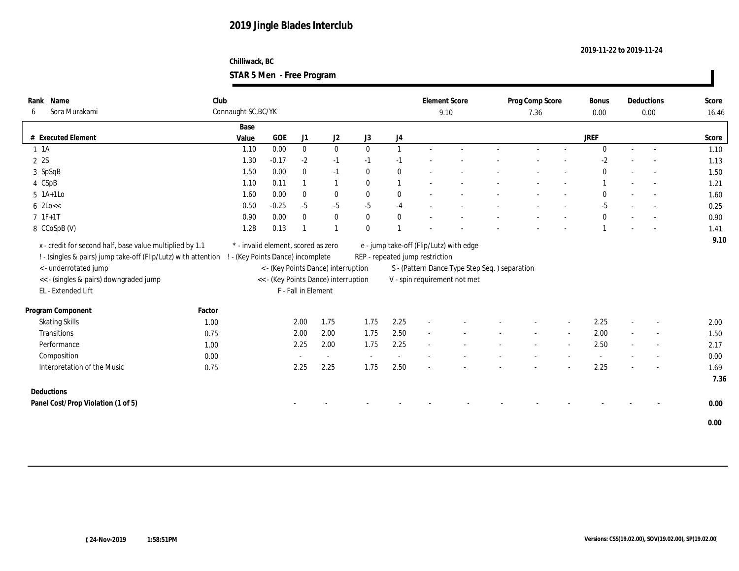#### **Chilliwack, BC STAR 5 Men - Free Program**

| Rank Name<br>Sora Murakami<br>6                                                                                                                                                                                     | Club   | Connaught SC, BC/YK                                                      |          |                     |                                                                             |              |              | <b>Element Score</b><br>9.10                                                                                                                                |  | Prog Comp Score<br>7.36 |        | Bonus<br>0.00 |        | Deductions<br>0.00       | Score<br>16.46 |
|---------------------------------------------------------------------------------------------------------------------------------------------------------------------------------------------------------------------|--------|--------------------------------------------------------------------------|----------|---------------------|-----------------------------------------------------------------------------|--------------|--------------|-------------------------------------------------------------------------------------------------------------------------------------------------------------|--|-------------------------|--------|---------------|--------|--------------------------|----------------|
|                                                                                                                                                                                                                     |        | Base                                                                     |          |                     |                                                                             |              |              |                                                                                                                                                             |  |                         |        |               |        |                          |                |
| # Executed Element                                                                                                                                                                                                  |        | Value                                                                    | GOE      | J1                  | J2                                                                          | J3           | J4           |                                                                                                                                                             |  |                         |        | <b>JREF</b>   |        |                          | Score          |
| $1 \t1A$                                                                                                                                                                                                            |        | 1.10                                                                     | $0.00\,$ | $\bf{0}$            | $\bf{0}$                                                                    | $\bf{0}$     | $\mathbf{1}$ |                                                                                                                                                             |  | $\sim$                  |        | $\theta$      |        | $\overline{\phantom{a}}$ | 1.10           |
| 2 2S                                                                                                                                                                                                                |        | 1.30                                                                     | $-0.17$  | $-2$                | $-1$                                                                        | $-1$         | $-1$         |                                                                                                                                                             |  |                         |        | $-2$          |        |                          | 1.13           |
| 3 SpSqB                                                                                                                                                                                                             |        | 1.50                                                                     | 0.00     | $\bf{0}$            | $-1$                                                                        | $\bf{0}$     | $\bf{0}$     |                                                                                                                                                             |  |                         |        | $\mathbf{0}$  |        |                          | 1.50           |
| 4 CSpB                                                                                                                                                                                                              |        | 1.10                                                                     | 0.11     | $\mathbf{1}$        | 1                                                                           | $\mathbf{0}$ | $\mathbf{1}$ |                                                                                                                                                             |  |                         |        |               |        |                          | 1.21           |
| $5$ 1A+1Lo                                                                                                                                                                                                          |        | 1.60                                                                     | 0.00     | $\bf{0}$            | $\bf{0}$                                                                    | $\mathbf{0}$ | $\bf{0}$     |                                                                                                                                                             |  |                         |        | $\mathbf{0}$  |        |                          | 1.60           |
| $6$ 2Lo $<<$                                                                                                                                                                                                        |        | 0.50                                                                     | $-0.25$  | $-5$                | $-5$                                                                        | $-5$         | $-4$         |                                                                                                                                                             |  |                         |        | $-5$          |        |                          | 0.25           |
| $7 1F+1T$                                                                                                                                                                                                           |        | 0.90                                                                     | 0.00     | $\mathbf{0}$        | $\bf{0}$                                                                    | $\bf{0}$     | $\bf{0}$     |                                                                                                                                                             |  |                         |        | $\mathbf{0}$  |        |                          | 0.90           |
| 8 CCoSpB (V)                                                                                                                                                                                                        |        | 1.28                                                                     | 0.13     |                     | $\blacksquare$                                                              | $\theta$     |              |                                                                                                                                                             |  |                         |        |               |        |                          | 1.41           |
| x - credit for second half, base value multiplied by 1.1<br>! - (singles & pairs) jump take-off (Flip/Lutz) with attention<br>< - underrotated jump<br><< - (singles & pairs) downgraded jump<br>EL - Extended Lift |        | * - invalid element, scored as zero<br>! - (Key Points Dance) incomplete |          | F - Fall in Element | < - (Key Points Dance) interruption<br><< - (Key Points Dance) interruption |              |              | e - jump take-off (Flip/Lutz) with edge<br>REP - repeated jump restriction<br>S - (Pattern Dance Type Step Seq.) separation<br>V - spin requirement not met |  |                         |        |               |        |                          | 9.10           |
| Program Component                                                                                                                                                                                                   | Factor |                                                                          |          |                     |                                                                             |              |              |                                                                                                                                                             |  |                         |        |               |        |                          |                |
| <b>Skating Skills</b>                                                                                                                                                                                               | 1.00   |                                                                          |          | 2.00                | 1.75                                                                        | 1.75         | 2.25         | $\sim$                                                                                                                                                      |  |                         |        | 2.25          | $\sim$ | $\sim$                   | 2.00           |
| <b>Transitions</b>                                                                                                                                                                                                  | 0.75   |                                                                          |          | 2.00                | 2.00                                                                        | 1.75         | 2.50         | $\overline{\phantom{a}}$                                                                                                                                    |  |                         | $\sim$ | 2.00          |        | $\sim$                   | 1.50           |
| Performance                                                                                                                                                                                                         | 1.00   |                                                                          |          | 2.25                | 2.00                                                                        | 1.75         | 2.25         | $\sim$                                                                                                                                                      |  |                         | $\sim$ | 2.50          | $\sim$ | $\overline{\phantom{a}}$ | 2.17           |
| Composition                                                                                                                                                                                                         | 0.00   |                                                                          |          |                     | $\sim$                                                                      | $\sim$       | $\sim$       |                                                                                                                                                             |  |                         |        | $\sim$        |        | $\sim$                   | 0.00           |
| Interpretation of the Music                                                                                                                                                                                         | 0.75   |                                                                          |          | 2.25                | 2.25                                                                        | 1.75         | 2.50         |                                                                                                                                                             |  |                         |        | 2.25          |        |                          | 1.69<br>7.36   |
| Deductions                                                                                                                                                                                                          |        |                                                                          |          |                     |                                                                             |              |              |                                                                                                                                                             |  |                         |        |               |        |                          |                |
| Panel Cost/Prop Violation (1 of 5)                                                                                                                                                                                  |        |                                                                          |          |                     |                                                                             |              |              |                                                                                                                                                             |  |                         |        |               |        |                          | 0.00           |
|                                                                                                                                                                                                                     |        |                                                                          |          |                     |                                                                             |              |              |                                                                                                                                                             |  |                         |        |               |        |                          | 0.00           |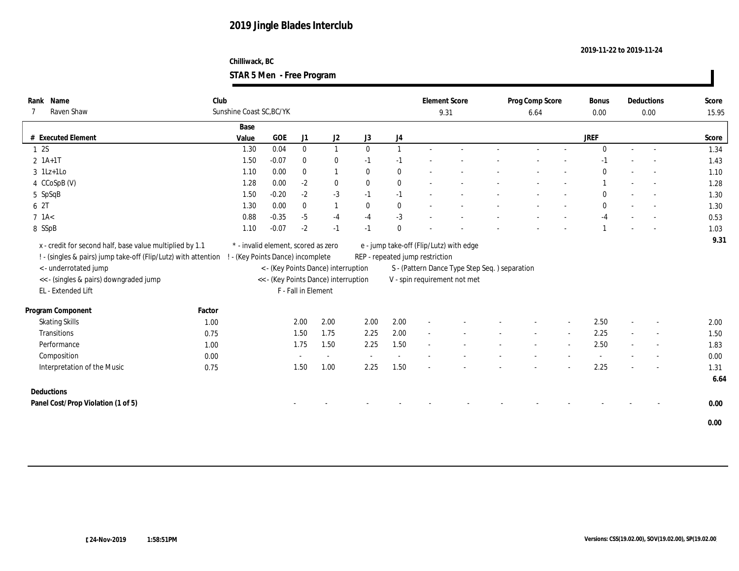#### **Chilliwack, BC STAR 5 Men - Free Program**

| Rank Name<br>Raven Shaw                                                                                                                                                                  | Club   | Sunshine Coast SC, BC/YK |         |                     |                                                                             |                  |                  | <b>Element Score</b><br>9.31    |                                                                               | Prog Comp Score<br>6.64 |        | <b>Bonus</b><br>$0.00\,$ | Deductions<br>$0.00\,$   | Score<br>15.95 |
|------------------------------------------------------------------------------------------------------------------------------------------------------------------------------------------|--------|--------------------------|---------|---------------------|-----------------------------------------------------------------------------|------------------|------------------|---------------------------------|-------------------------------------------------------------------------------|-------------------------|--------|--------------------------|--------------------------|----------------|
|                                                                                                                                                                                          |        | Base                     |         |                     |                                                                             |                  |                  |                                 |                                                                               |                         |        |                          |                          |                |
| # Executed Element                                                                                                                                                                       |        | Value                    | GOE     | J1                  | J2                                                                          | J3               | J4               |                                 |                                                                               |                         |        | <b>JREF</b>              |                          | Score          |
| 12S                                                                                                                                                                                      |        | 1.30                     | 0.04    | $\bf{0}$            | 1                                                                           | $\bf{0}$         | $\mathbf{1}$     |                                 |                                                                               |                         |        | $\mathbf{0}$             | $\sim$                   | 1.34           |
| $2 \; 1A+1T$                                                                                                                                                                             |        | 1.50                     | $-0.07$ | $\bf{0}$            | $\bf{0}$                                                                    | $-1$             | $-1$             |                                 |                                                                               |                         |        | $-1$                     |                          | 1.43           |
| $3$ 1Lz+1Lo                                                                                                                                                                              |        | 1.10                     | 0.00    | $\bf{0}$            | -1                                                                          | $\bf{0}$         | $\bf{0}$         |                                 |                                                                               |                         |        | $\theta$                 |                          | 1.10           |
| 4 CCoSpB (V)                                                                                                                                                                             |        | 1.28                     | 0.00    | $-2$                | $\bf{0}$                                                                    | $\bf{0}$         | $\bf{0}$         | $\overline{a}$                  |                                                                               |                         |        |                          |                          | 1.28           |
| 5 SpSqB                                                                                                                                                                                  |        | 1.50                     | $-0.20$ | $-2$                | $-3$                                                                        | $-1$             | $-1$             | $\sim$                          |                                                                               |                         |        | $\mathbf{0}$             | $\overline{\phantom{a}}$ | 1.30           |
| 6 2T                                                                                                                                                                                     |        | 1.30                     | 0.00    | $\mathbf{0}$        | $\mathbf{1}$                                                                | $\boldsymbol{0}$ | $\boldsymbol{0}$ | $\sim$                          |                                                                               |                         |        | $\mathbf{0}$             | $\overline{\phantom{a}}$ | 1.30           |
| $7$ 1A $<$                                                                                                                                                                               |        | 0.88                     | $-0.35$ | $-5$                | $-4$                                                                        | $-4$             | $-3$             | $\sim$                          |                                                                               |                         |        | $-4$                     |                          | 0.53           |
| 8 SSpB                                                                                                                                                                                   |        | 1.10                     | $-0.07$ | $-2$                | $-1$                                                                        | $-1$             | $\mathbf{0}$     |                                 |                                                                               |                         |        |                          | $\overline{\phantom{a}}$ | 1.03           |
| ! - (singles & pairs) jump take-off (Flip/Lutz) with attention ! - (Key Points Dance) incomplete<br><- underrotated jump<br><< - (singles & pairs) downgraded jump<br>EL - Extended Lift |        |                          |         | F - Fall in Element | < - (Key Points Dance) interruption<br><< - (Key Points Dance) interruption |                  |                  | REP - repeated jump restriction | S - (Pattern Dance Type Step Seq.) separation<br>V - spin requirement not met |                         |        |                          |                          |                |
| Program Component                                                                                                                                                                        | Factor |                          |         |                     |                                                                             |                  |                  |                                 |                                                                               |                         |        |                          |                          |                |
| <b>Skating Skills</b>                                                                                                                                                                    | 1.00   |                          |         | 2.00                | 2.00                                                                        | 2.00             | 2.00             |                                 |                                                                               |                         |        | 2.50                     | $\overline{\phantom{a}}$ | 2.00           |
| Transitions                                                                                                                                                                              | 0.75   |                          |         | 1.50                | 1.75                                                                        | 2.25             | 2.00             |                                 |                                                                               |                         | $\sim$ | 2.25                     | $\sim$                   | 1.50           |
| Performance                                                                                                                                                                              | 1.00   |                          |         | 1.75                | 1.50                                                                        | 2.25             | 1.50             |                                 |                                                                               |                         |        | 2.50                     | $\sim$                   | 1.83           |
| Composition                                                                                                                                                                              | 0.00   |                          |         |                     |                                                                             |                  | $\sim$           |                                 |                                                                               |                         |        | $\overline{\phantom{a}}$ |                          | 0.00           |
| Interpretation of the Music                                                                                                                                                              | 0.75   |                          |         | 1.50                | 1.00                                                                        | 2.25             | 1.50             |                                 |                                                                               |                         |        | 2.25                     |                          | 1.31<br>6.64   |
| Deductions                                                                                                                                                                               |        |                          |         |                     |                                                                             |                  |                  |                                 |                                                                               |                         |        |                          |                          |                |
| Panel Cost/Prop Violation (1 of 5)                                                                                                                                                       |        |                          |         |                     |                                                                             |                  |                  |                                 |                                                                               |                         |        |                          |                          | 0.00           |
|                                                                                                                                                                                          |        |                          |         |                     |                                                                             |                  |                  |                                 |                                                                               |                         |        |                          |                          | 0.00           |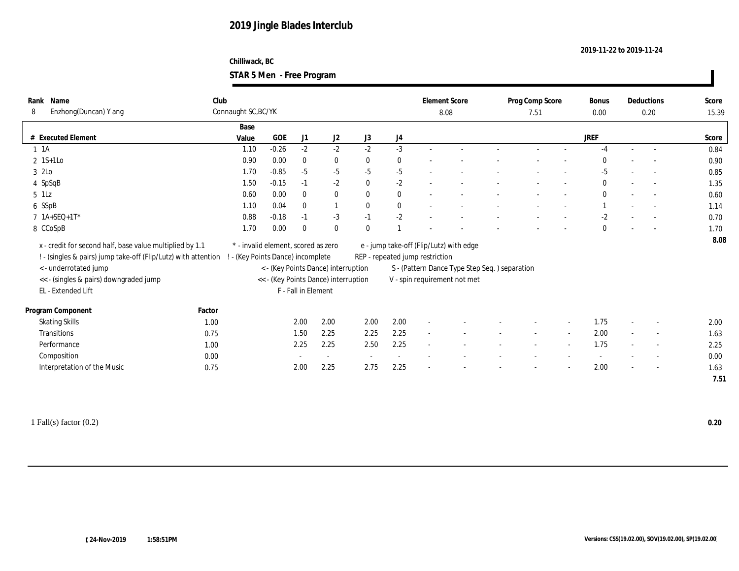#### **Chilliwack, BC STAR 5 Men - Free Program**

| Name<br>Rank                                                   | Club   |                                     |         |                     |                                      |              |                | <b>Element Score</b>            |                                               | Prog Comp Score |                          | Bonus        |        | Deductions               | Score |
|----------------------------------------------------------------|--------|-------------------------------------|---------|---------------------|--------------------------------------|--------------|----------------|---------------------------------|-----------------------------------------------|-----------------|--------------------------|--------------|--------|--------------------------|-------|
| Enzhong(Duncan) Y ang<br>8                                     |        | Connaught SC, BC/YK                 |         |                     |                                      |              |                | 8.08                            |                                               | 7.51            |                          | 0.00         |        | 0.20                     | 15.39 |
|                                                                |        | Base                                |         |                     |                                      |              |                |                                 |                                               |                 |                          |              |        |                          |       |
| # Executed Element                                             |        | Value                               | GOE     | J1                  | J2                                   | J3           | J4             |                                 |                                               |                 |                          | <b>JREF</b>  |        |                          | Score |
| $1 \t1A$                                                       |        | 1.10                                | $-0.26$ | $-2$                | $-2$                                 | $-2$         | $-3$           |                                 |                                               |                 |                          | $-4$         |        | $\sim$                   | 0.84  |
| $2 \text{ 1S+1Lo}$                                             |        | 0.90                                | 0.00    | $\bf{0}$            | $\bf{0}$                             | $\bf{0}$     | $\bf{0}$       |                                 |                                               |                 |                          | $\theta$     |        |                          | 0.90  |
| 3 2Lo                                                          |        | 1.70                                | $-0.85$ | $-5$                | $-5$                                 | $-5$         | $-5$           | $\overline{\phantom{a}}$        |                                               |                 |                          | $-5$         |        | $\sim$                   | 0.85  |
| 4 SpSqB                                                        |        | 1.50                                | $-0.15$ | $-1$                | $-2$                                 | $\bf{0}$     | $-2$           |                                 |                                               |                 |                          | $\mathbf{0}$ |        | $\overline{\phantom{a}}$ | 1.35  |
| $5$ 1Lz                                                        |        | 0.60                                | 0.00    | $\bf{0}$            | $\bf{0}$                             | $\mathbf{0}$ | $\bf{0}$       | $\sim$                          |                                               |                 | $\overline{\phantom{a}}$ | $\mathbf{0}$ | $\sim$ | $\overline{\phantom{a}}$ | 0.60  |
| 6 SSpB                                                         |        | 1.10                                | 0.04    | $\mathbf{0}$        | $\mathbf{1}$                         | $\mathbf{0}$ | $\mathbf{0}$   |                                 |                                               |                 |                          |              |        | $\sim$                   | 1.14  |
| 7 1A+SEQ+1T*                                                   |        | 0.88                                | $-0.18$ | $-1$                | $-3$                                 | $-1$         | $-2$           |                                 |                                               |                 |                          | $-2$         |        |                          | 0.70  |
| 8 CCoSpB                                                       |        | 1.70                                | 0.00    | $\mathbf{0}$        | $\mathbf{0}$                         | $\mathbf{0}$ |                |                                 |                                               |                 |                          | $\mathbf{0}$ |        |                          | 1.70  |
| x - credit for second half, base value multiplied by 1.1       |        | * - invalid element, scored as zero |         |                     |                                      |              |                |                                 | e - jump take-off (Flip/Lutz) with edge       |                 |                          |              |        |                          | 8.08  |
| ! - (singles & pairs) jump take-off (Flip/Lutz) with attention |        | - (Key Points Dance) incomplete     |         |                     |                                      |              |                | REP - repeated jump restriction |                                               |                 |                          |              |        |                          |       |
| <- underrotated jump                                           |        |                                     |         |                     | < - (Key Points Dance) interruption  |              |                |                                 |                                               |                 |                          |              |        |                          |       |
|                                                                |        |                                     |         |                     | << - (Key Points Dance) interruption |              |                |                                 | S - (Pattern Dance Type Step Seq.) separation |                 |                          |              |        |                          |       |
| << - (singles & pairs) downgraded jump<br>EL - Extended Lift   |        |                                     |         | F - Fall in Element |                                      |              |                |                                 | V - spin requirement not met                  |                 |                          |              |        |                          |       |
|                                                                |        |                                     |         |                     |                                      |              |                |                                 |                                               |                 |                          |              |        |                          |       |
| Program Component                                              | Factor |                                     |         |                     |                                      |              |                |                                 |                                               |                 |                          |              |        |                          |       |
| <b>Skating Skills</b>                                          | 1.00   |                                     |         | 2.00                | 2.00                                 | 2.00         | 2.00           | $\overline{a}$                  |                                               |                 |                          | 1.75         |        |                          | 2.00  |
| Transitions                                                    | 0.75   |                                     |         | 1.50                | 2.25                                 | 2.25         | 2.25           | $\sim$                          |                                               | $\sim$          | $\sim$                   | 2.00         | $\sim$ | $\overline{\phantom{a}}$ | 1.63  |
| Performance                                                    | 1.00   |                                     |         | 2.25                | 2.25                                 | 2.50         | 2.25           |                                 |                                               |                 | $\overline{\phantom{a}}$ | 1.75         |        | $\overline{\phantom{a}}$ | 2.25  |
| Composition                                                    | 0.00   |                                     |         |                     | $\sim$                               | $\sim$       | $\overline{a}$ |                                 |                                               |                 |                          |              |        | $\overline{\phantom{a}}$ | 0.00  |
| Interpretation of the Music                                    | 0.75   |                                     |         | 2.00                | 2.25                                 | 2.75         | 2.25           |                                 |                                               |                 |                          | 2.00         |        | $\overline{\phantom{a}}$ | 1.63  |
|                                                                |        |                                     |         |                     |                                      |              |                |                                 |                                               |                 |                          |              |        |                          | 7.51  |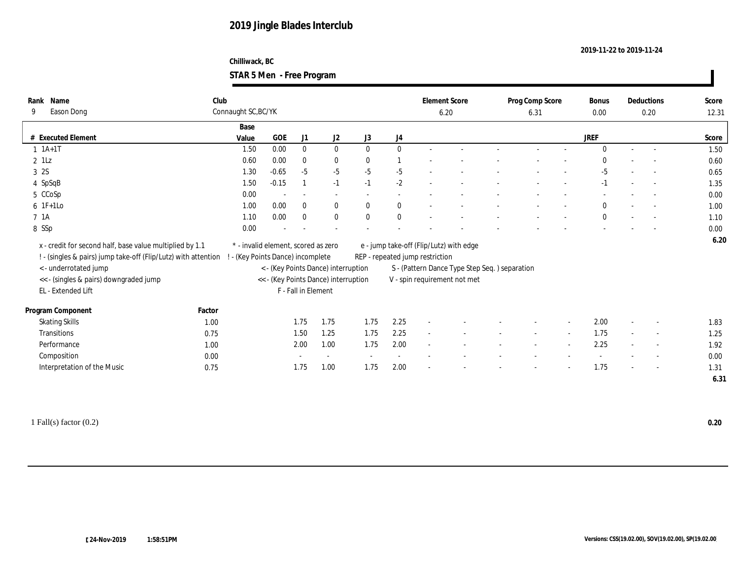#### **Chilliwack, BC STAR 5 Men - Free Program**

| Name<br>Rank                                                     | Club                |                                     |                     |                                      |                          |              | <b>Element Score</b>                    |                                               | Prog Comp Score |        | <b>Bonus</b> |        | Deductions               | Score |
|------------------------------------------------------------------|---------------------|-------------------------------------|---------------------|--------------------------------------|--------------------------|--------------|-----------------------------------------|-----------------------------------------------|-----------------|--------|--------------|--------|--------------------------|-------|
| Eason Dong<br>9                                                  | Connaught SC, BC/YK |                                     |                     |                                      |                          |              | 6.20                                    |                                               | 6.31            |        | 0.00         |        | 0.20                     | 12.31 |
|                                                                  | Base                |                                     |                     |                                      |                          |              |                                         |                                               |                 |        |              |        |                          |       |
| # Executed Element                                               | Value               | GOE                                 | J1                  | J2                                   | J3                       | J4           |                                         |                                               |                 |        | <b>JREF</b>  |        |                          | Score |
| $1 \t1A+1T$                                                      | 1.50                | 0.00                                | $\bf{0}$            | $\bf{0}$                             | $\mathbf{0}$             | $\mathbf{0}$ |                                         |                                               |                 |        | $\theta$     |        | $\sim$                   | 1.50  |
| $2$ 1Lz                                                          | 0.60                | 0.00                                | $\bf{0}$            | $\bf{0}$                             | $\bf{0}$                 |              |                                         |                                               |                 |        | $\theta$     |        |                          | 0.60  |
| 3 2S                                                             | 1.30                | $-0.65$                             | $-5$                | $-5$                                 | $-5$                     | $-5$         |                                         |                                               |                 |        | $-5$         |        | $\overline{\phantom{a}}$ | 0.65  |
| 4 SpSqB                                                          | 1.50                | $-0.15$                             | $\mathbf{1}$        | $-1$                                 | $-1$                     | $-2$         |                                         |                                               |                 |        | $-1$         |        | $\overline{\phantom{a}}$ | 1.35  |
| 5 CCoSp                                                          | 0.00                | $\overline{\phantom{a}}$            | $\sim$              | $\sim$                               | $\sim$                   | $\sim$       |                                         |                                               |                 |        |              |        | $\overline{\phantom{a}}$ | 0.00  |
| $6$ 1F+1Lo                                                       | 1.00                | 0.00                                | $\mathbf{0}$        | $\bf{0}$                             | $\mathbf{0}$             | $\bf{0}$     | $\sim$                                  |                                               |                 |        | $\bf{0}$     |        | $\sim$                   | 1.00  |
| 7 <sub>1</sub> A                                                 | 1.10                | 0.00                                | $\mathbf{0}$        | $\bf{0}$                             | $\bf{0}$                 | $\bf{0}$     |                                         |                                               |                 |        | $\mathbf{0}$ |        | $\overline{\phantom{a}}$ | 1.10  |
| 8 SSp                                                            | 0.00                |                                     |                     |                                      |                          |              |                                         |                                               |                 |        |              |        |                          | 0.00  |
| x - credit for second half, base value multiplied by 1.1         |                     | * - invalid element, scored as zero |                     |                                      |                          |              | e - jump take-off (Flip/Lutz) with edge |                                               |                 |        |              |        |                          | 6.20  |
| ! - (singles & pairs) jump take-off (Flip/Lutz) with attention ! |                     | - (Key Points Dance) incomplete     |                     |                                      |                          |              | REP - repeated jump restriction         |                                               |                 |        |              |        |                          |       |
|                                                                  |                     |                                     |                     | < - (Key Points Dance) interruption  |                          |              |                                         | S - (Pattern Dance Type Step Seq.) separation |                 |        |              |        |                          |       |
|                                                                  |                     |                                     |                     |                                      |                          |              |                                         |                                               |                 |        |              |        |                          |       |
| < - underrotated jump                                            |                     |                                     |                     |                                      |                          |              |                                         |                                               |                 |        |              |        |                          |       |
| << - (singles & pairs) downgraded jump                           |                     |                                     |                     | << - (Key Points Dance) interruption |                          |              | V - spin requirement not met            |                                               |                 |        |              |        |                          |       |
| EL - Extended Lift                                               |                     |                                     | F - Fall in Element |                                      |                          |              |                                         |                                               |                 |        |              |        |                          |       |
| Program Component                                                | Factor              |                                     |                     |                                      |                          |              |                                         |                                               |                 |        |              |        |                          |       |
| <b>Skating Skills</b>                                            | 1.00                |                                     | 1.75                | 1.75                                 | 1.75                     | 2.25         |                                         |                                               |                 |        | 2.00         |        |                          | 1.83  |
| Transitions                                                      | 0.75                |                                     | 1.50                | 1.25                                 | 1.75                     | 2.25         | $\sim$                                  |                                               | $\sim$          | $\sim$ | 1.75         | $\sim$ | $\overline{\phantom{a}}$ | 1.25  |
| Performance                                                      | 1.00                |                                     | 2.00                | 1.00                                 | 1.75                     | 2.00         |                                         |                                               |                 |        | 2.25         |        | $\overline{\phantom{a}}$ | 1.92  |
|                                                                  | 0.00                |                                     | $\sim$              | $\sim$                               | $\overline{\phantom{a}}$ | $\sim$       |                                         |                                               |                 |        |              |        | $\overline{\phantom{a}}$ | 0.00  |
| Composition<br>Interpretation of the Music                       | 0.75                |                                     | 1.75                | 1.00                                 | 1.75                     | 2.00         |                                         |                                               |                 |        | 1.75         |        | $\overline{\phantom{a}}$ | 1.31  |